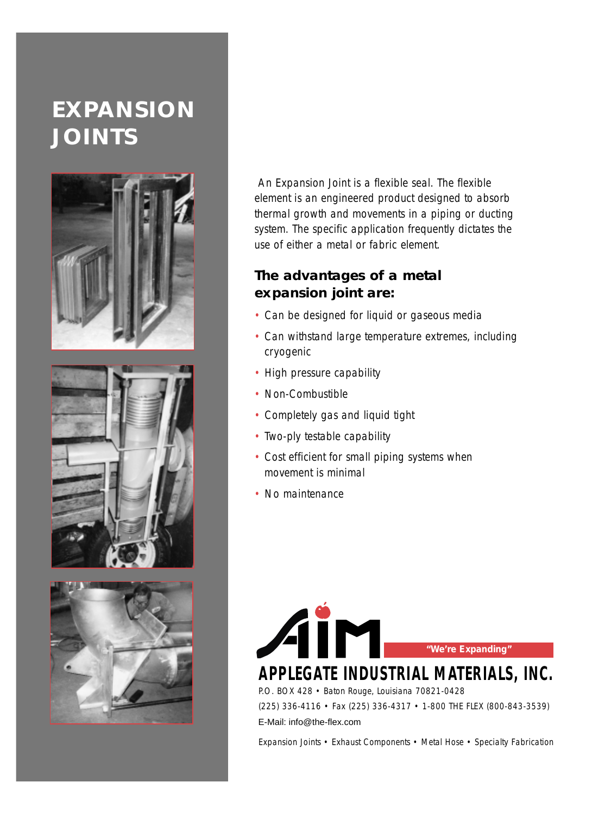# **EXPANSION JOINTS**







An Expansion Joint is a flexible seal. The flexible element is an engineered product designed to absorb thermal growth and movements in a piping or ducting system. The specific application frequently dictates the use of either a metal or fabric element.

#### **The advantages of a metal expansion joint are:**

- Can be designed for liquid or gaseous media
- Can withstand large temperature extremes, including cryogenic
- High pressure capability
- Non-Combustible
- Completely gas and liquid tight
- Two-ply testable capability
- Cost efficient for small piping systems when movement is minimal
- No maintenance



## **APPLEGATE INDUSTRIAL MATERIALS, INC.**

P.O. BOX 428 • Baton Rouge, Louisiana 70821-0428

(225) 336-4116 • Fax (225) 336-4317 • 1-800 THE FLEX (800-843-3539)

E-Mail: info@the-flex.com

Expansion Joints • Exhaust Components • Metal Hose • Specialty Fabrication